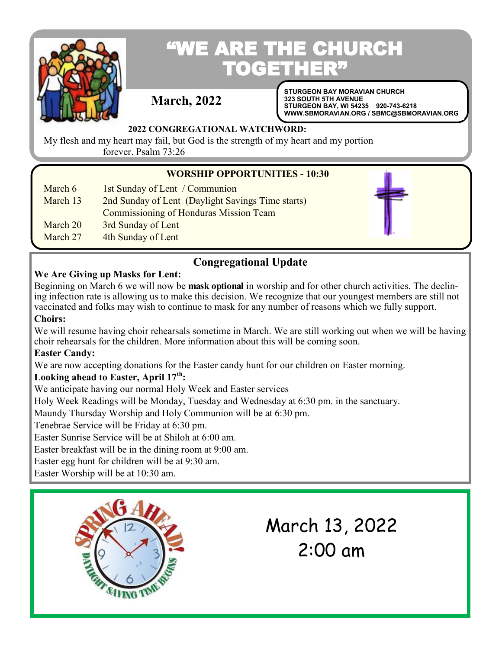

# "WE ARE THE CHURCH **TOGETHER**

## **March, 2022**

**STURGEON BAY MORAVIAN CHURCH 323 SOUTH 5TH AVENUE STURGEON BAY, WI 54235 920-743-6218 WWW.SBMORAVIAN.ORG / SBMC@SBMORAVIAN.ORG** 

## **2022 CONGREGATIONAL WATCHWORD:**

My flesh and my heart may fail, but God is the strength of my heart and my portion forever. Psalm 73:26

## **WORSHIP OPPORTUNITIES - 10:30**

- March 6 1st Sunday of Lent / Communion
- March 13 2nd Sunday of Lent (Daylight Savings Time starts)
	- Commissioning of Honduras Mission Team
- March 20 3rd Sunday of Lent
- March 27 4th Sunday of Lent

# **Congregational Update**

## **We Are Giving up Masks for Lent:**

Beginning on March 6 we will now be **mask optional** in worship and for other church activities. The declining infection rate is allowing us to make this decision. We recognize that our youngest members are still not vaccinated and folks may wish to continue to mask for any number of reasons which we fully support.

## **Choirs:**

We will resume having choir rehearsals sometime in March. We are still working out when we will be having choir rehearsals for the children. More information about this will be coming soon.

## **Easter Candy:**

We are now accepting donations for the Easter candy hunt for our children on Easter morning.

## **Looking ahead to Easter, April 17th:**

We anticipate having our normal Holy Week and Easter services

Holy Week Readings will be Monday, Tuesday and Wednesday at 6:30 pm. in the sanctuary.

Maundy Thursday Worship and Holy Communion will be at 6:30 pm.

Tenebrae Service will be Friday at 6:30 pm.

Easter Sunrise Service will be at Shiloh at 6:00 am.

Easter breakfast will be in the dining room at 9:00 am.

Easter egg hunt for children will be at 9:30 am.

Easter Worship will be at 10:30 am.



# March 13, 2022 2:00 am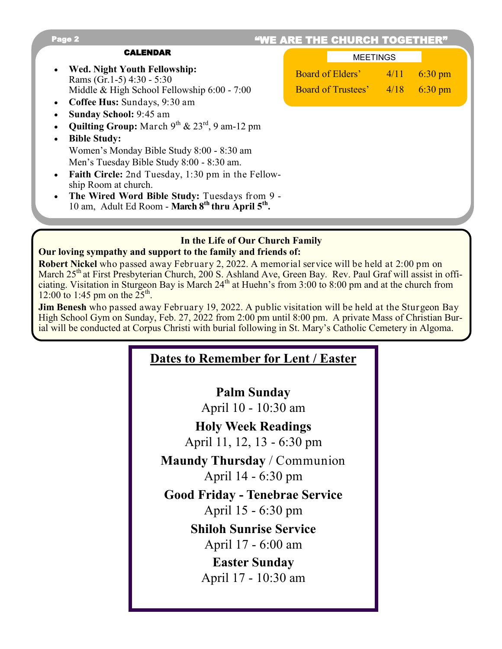| "WE ARE THE CHURCH TOGETHER"<br>Page 2                                                                                                                          |                                                                                                          |  |  |
|-----------------------------------------------------------------------------------------------------------------------------------------------------------------|----------------------------------------------------------------------------------------------------------|--|--|
| <b>CALENDAR</b>                                                                                                                                                 | <b>MEETINGS</b>                                                                                          |  |  |
| Wed. Night Youth Fellowship:<br>$\bullet$<br>Rams (Gr.1-5) $4:30 - 5:30$                                                                                        | <b>Board of Elders'</b> 4/11<br>$6:30 \text{ pm}$<br><b>Board of Trustees'</b> 4/18<br>$6:30 \text{ pm}$ |  |  |
| Middle & High School Fellowship 6:00 - 7:00<br>Coffee Hus: Sundays, 9:30 am<br>$\bullet$                                                                        |                                                                                                          |  |  |
| Sunday School: 9:45 am<br><b>Quilting Group:</b> March $9^{th}$ & $23^{rd}$ , 9 am-12 pm                                                                        |                                                                                                          |  |  |
| <b>Bible Study:</b><br>$\bullet$<br>Women's Monday Bible Study 8:00 - 8:30 am                                                                                   |                                                                                                          |  |  |
| Men's Tuesday Bible Study 8:00 - 8:30 am.<br><b>Faith Circle:</b> 2nd Tuesday, 1:30 pm in the Fellow-<br>$\bullet$                                              |                                                                                                          |  |  |
| ship Room at church.<br>The Wired Word Bible Study: Tuesdays from 9 -<br>$\bullet$<br>10 am, Adult Ed Room - March 8 <sup>th</sup> thru April 5 <sup>th</sup> . |                                                                                                          |  |  |

# **In the Life of Our Church Family**

#### **Our loving sympathy and support to the family and friends of: Robert Nickel** who passed away February 2, 2022. A memorial service will be held at 2:00 pm on March 25<sup>th</sup> at First Presbyterian Church, 200 S. Ashland Ave, Green Bay. Rev. Paul Graf will assist in officiating. Visitation in Sturgeon Bay is March 24<sup>th</sup> at Huehn's from 3:00 to 8:00 pm and at the church from  $12:00$  to 1:45 pm on the  $25^{\text{th}}$ .

**Jim Benesh** who passed away February 19, 2022. A public visitation will be held at the Sturgeon Bay High School Gym on Sunday, Feb. 27, 2022 from 2:00 pm until 8:00 pm. A private Mass of Christian Burial will be conducted at Corpus Christi with burial following in St. Mary's Catholic Cemetery in Algoma.

## **Dates to Remember for Lent / Easter**

**Palm Sunday** April 10 - 10:30 am

**Holy Week Readings**  April 11, 12, 13 - 6:30 pm

**Maundy Thursday** / Communion April 14 - 6:30 pm

**Good Friday - Tenebrae Service**  April 15 - 6:30 pm

> **Shiloh Sunrise Service** April 17 - 6:00 am

**Easter Sunday** April 17 - 10:30 am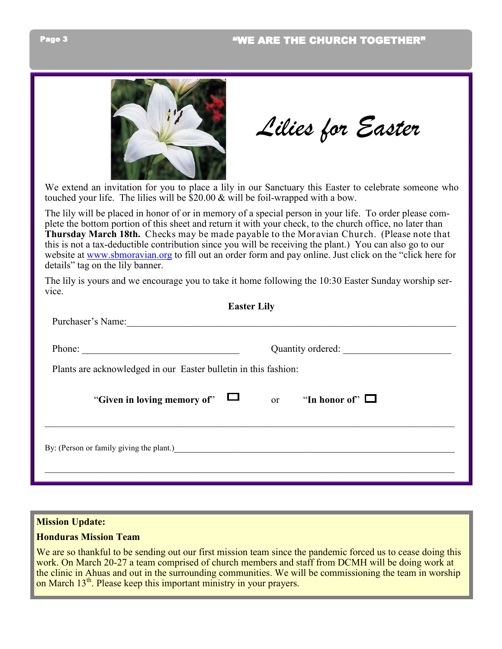

*Lilies for Easter*

We extend an invitation for you to place a lily in our Sanctuary this Easter to celebrate someone who touched your life. The lilies will be \$20.00 & will be foil-wrapped with a bow.

The lily will be placed in honor of or in memory of a special person in your life. To order please complete the bottom portion of this sheet and return it with your check, to the church office, no later than **Thursday March 18th.** Checks may be made payable to the Moravian Church. (Please note that this is not a tax-deductible contribution since you will be receiving the plant.) You can also go to our website at [www.sbmoravian.org](http://www.sbmoravian.org) to fill out an order form and pay online. Just click on the "click here for details" tag on the lily banner.

The lily is yours and we encourage you to take it home following the 10:30 Easter Sunday worship service.

| <b>Easter Lily</b>                                              |                   |                      |  |  |
|-----------------------------------------------------------------|-------------------|----------------------|--|--|
| Purchaser's Name:                                               |                   |                      |  |  |
| Phone:                                                          | Quantity ordered: |                      |  |  |
| Plants are acknowledged in our Easter bulletin in this fashion: |                   |                      |  |  |
| "Given in loving memory of"                                     | <sub>or</sub>     | "In honor of" $\Box$ |  |  |
| By: (Person or family giving the plant.)                        |                   |                      |  |  |
|                                                                 |                   |                      |  |  |

#### **Mission Update:**

#### **Honduras Mission Team**

We are so thankful to be sending out our first mission team since the pandemic forced us to cease doing this work. On March 20-27 a team comprised of church members and staff from DCMH will be doing work at the clinic in Ahuas and out in the surrounding communities. We will be commissioning the team in worship on March 13<sup>th</sup>. Please keep this important ministry in your prayers.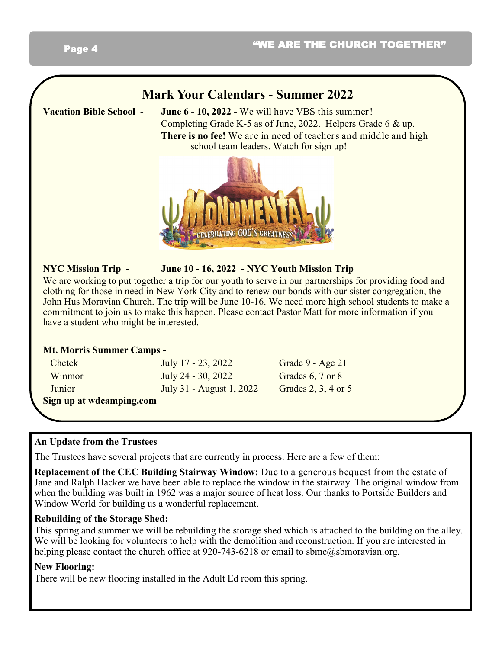## Page 4

## **Mark Your Calendars - Summer 2022**

**Vacation Bible School - June 6 - 10, 2022 -** We will have VBS this summer! Completing Grade K-5 as of June, 2022. Helpers Grade 6 & up. **There is no fee!** We are in need of teachers and middle and high school team leaders. Watch for sign up!



## **NYC Mission Trip - June 10 - 16, 2022 - NYC Youth Mission Trip**

We are working to put together a trip for our youth to serve in our partnerships for providing food and clothing for those in need in New York City and to renew our bonds with our sister congregation, the John Hus Moravian Church. The trip will be June 10-16. We need more high school students to make a commitment to join us to make this happen. Please contact Pastor Matt for more information if you have a student who might be interested.

#### **Mt. Morris Summer Camps -**

| Sign up at wdcamping.com |                          |                     |
|--------------------------|--------------------------|---------------------|
| Junior                   | July 31 - August 1, 2022 | Grades 2, 3, 4 or 5 |
| Winmor                   | July 24 - 30, 2022       | Grades 6, 7 or 8    |
| Chetek                   | July $17 - 23, 2022$     | Grade 9 - Age 21    |

## **An Update from the Trustees**

The Trustees have several projects that are currently in process. Here are a few of them:

**Replacement of the CEC Building Stairway Window:** Due to a generous bequest from the estate of Jane and Ralph Hacker we have been able to replace the window in the stairway. The original window from when the building was built in 1962 was a major source of heat loss. Our thanks to Portside Builders and Window World for building us a wonderful replacement.

## **Rebuilding of the Storage Shed:**

This spring and summer we will be rebuilding the storage shed which is attached to the building on the alley. We will be looking for volunteers to help with the demolition and reconstruction. If you are interested in helping please contact the church office at 920-743-6218 or email to sbmc@sbmoravian.org.

## **New Flooring:**

There will be new flooring installed in the Adult Ed room this spring.